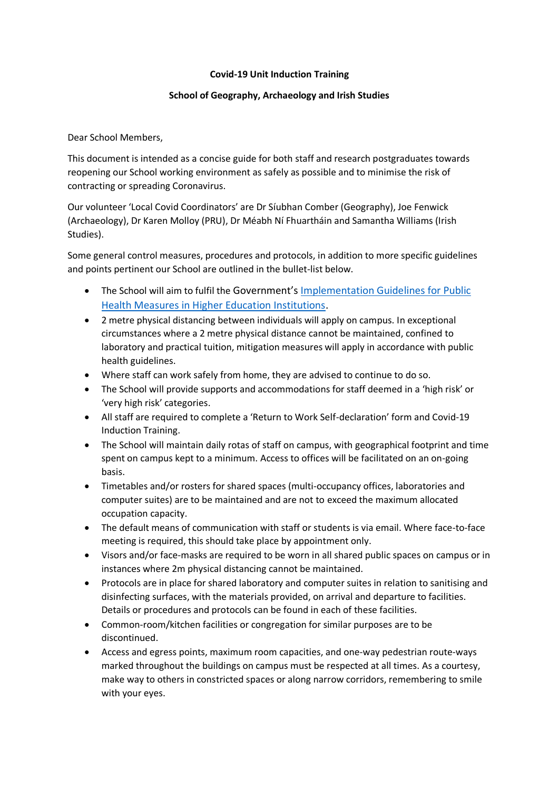## **Covid-19 Unit Induction Training**

## **School of Geography, Archaeology and Irish Studies**

Dear School Members,

This document is intended as a concise guide for both staff and research postgraduates towards reopening our School working environment as safely as possible and to minimise the risk of contracting or spreading Coronavirus.

Our volunteer 'Local Covid Coordinators' are Dr Síubhan Comber (Geography), Joe Fenwick (Archaeology), Dr Karen Molloy (PRU), Dr Méabh Ní Fhuartháin and Samantha Williams (Irish Studies).

Some general control measures, procedures and protocols, in addition to more specific guidelines and points pertinent our School are outlined in the bullet-list below.

- The School will aim to fulfil the Government's [Implementation Guidelines for Public](http://www.nuigalway.ie/media/Public-Health-Implementation-Guidelines-for-HEIs_05.08.20_Final.pdf)  [Health Measures in Higher Education Institutions.](http://www.nuigalway.ie/media/Public-Health-Implementation-Guidelines-for-HEIs_05.08.20_Final.pdf)
- 2 metre physical distancing between individuals will apply on campus. In exceptional circumstances where a 2 metre physical distance cannot be maintained, confined to laboratory and practical tuition, mitigation measures will apply in accordance with public health guidelines.
- Where staff can work safely from home, they are advised to continue to do so.
- The School will provide supports and accommodations for staff deemed in a 'high risk' or 'very high risk' categories.
- All staff are required to complete a 'Return to Work Self-declaration' form and Covid-19 Induction Training.
- The School will maintain daily rotas of staff on campus, with geographical footprint and time spent on campus kept to a minimum. Access to offices will be facilitated on an on-going basis.
- Timetables and/or rosters for shared spaces (multi-occupancy offices, laboratories and computer suites) are to be maintained and are not to exceed the maximum allocated occupation capacity.
- The default means of communication with staff or students is via email. Where face-to-face meeting is required, this should take place by appointment only.
- Visors and/or face-masks are required to be worn in all shared public spaces on campus or in instances where 2m physical distancing cannot be maintained.
- Protocols are in place for shared laboratory and computer suites in relation to sanitising and disinfecting surfaces, with the materials provided, on arrival and departure to facilities. Details or procedures and protocols can be found in each of these facilities.
- Common-room/kitchen facilities or congregation for similar purposes are to be discontinued.
- Access and egress points, maximum room capacities, and one-way pedestrian route-ways marked throughout the buildings on campus must be respected at all times. As a courtesy, make way to others in constricted spaces or along narrow corridors, remembering to smile with your eyes.